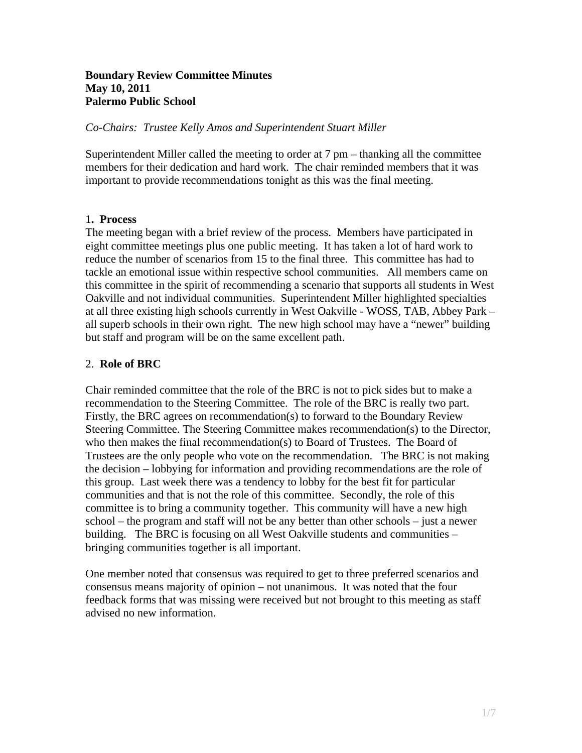### **Boundary Review Committee Minutes May 10, 2011 Palermo Public School**

*Co-Chairs: Trustee Kelly Amos and Superintendent Stuart Miller* 

Superintendent Miller called the meeting to order at 7 pm – thanking all the committee members for their dedication and hard work. The chair reminded members that it was important to provide recommendations tonight as this was the final meeting.

## 1**. Process**

The meeting began with a brief review of the process. Members have participated in eight committee meetings plus one public meeting. It has taken a lot of hard work to reduce the number of scenarios from 15 to the final three. This committee has had to tackle an emotional issue within respective school communities. All members came on this committee in the spirit of recommending a scenario that supports all students in West Oakville and not individual communities. Superintendent Miller highlighted specialties at all three existing high schools currently in West Oakville - WOSS, TAB, Abbey Park – all superb schools in their own right. The new high school may have a "newer" building but staff and program will be on the same excellent path.

### 2. **Role of BRC**

Chair reminded committee that the role of the BRC is not to pick sides but to make a recommendation to the Steering Committee. The role of the BRC is really two part. Firstly, the BRC agrees on recommendation(s) to forward to the Boundary Review Steering Committee. The Steering Committee makes recommendation(s) to the Director, who then makes the final recommendation(s) to Board of Trustees. The Board of Trustees are the only people who vote on the recommendation. The BRC is not making the decision – lobbying for information and providing recommendations are the role of this group. Last week there was a tendency to lobby for the best fit for particular communities and that is not the role of this committee. Secondly, the role of this committee is to bring a community together. This community will have a new high school – the program and staff will not be any better than other schools – just a newer building. The BRC is focusing on all West Oakville students and communities – bringing communities together is all important.

One member noted that consensus was required to get to three preferred scenarios and consensus means majority of opinion – not unanimous. It was noted that the four feedback forms that was missing were received but not brought to this meeting as staff advised no new information.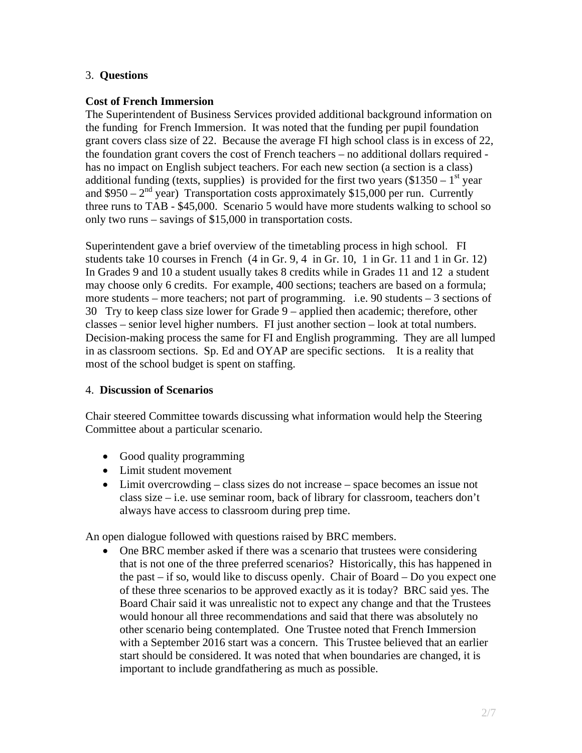## 3. **Questions**

# **Cost of French Immersion**

The Superintendent of Business Services provided additional background information on the funding for French Immersion. It was noted that the funding per pupil foundation grant covers class size of 22. Because the average FI high school class is in excess of 22, the foundation grant covers the cost of French teachers – no additional dollars required has no impact on English subject teachers. For each new section (a section is a class) additional funding (texts, supplies) is provided for the first two years  $(\$1350 - 1<sup>st</sup>$  year and  $$950 - 2<sup>nd</sup>$  year) Transportation costs approximately \$15,000 per run. Currently three runs to TAB - \$45,000. Scenario 5 would have more students walking to school so only two runs – savings of \$15,000 in transportation costs.

Superintendent gave a brief overview of the timetabling process in high school. FI students take 10 courses in French (4 in Gr. 9, 4 in Gr. 10, 1 in Gr. 11 and 1 in Gr. 12) In Grades 9 and 10 a student usually takes 8 credits while in Grades 11 and 12 a student may choose only 6 credits. For example, 400 sections; teachers are based on a formula; more students – more teachers; not part of programming. i.e. 90 students – 3 sections of 30 Try to keep class size lower for Grade 9 – applied then academic; therefore, other classes – senior level higher numbers. FI just another section – look at total numbers. Decision-making process the same for FI and English programming. They are all lumped in as classroom sections. Sp. Ed and OYAP are specific sections. It is a reality that most of the school budget is spent on staffing.

## 4. **Discussion of Scenarios**

Chair steered Committee towards discussing what information would help the Steering Committee about a particular scenario.

- Good quality programming
- Limit student movement
- Limit overcrowding class sizes do not increase space becomes an issue not class size – i.e. use seminar room, back of library for classroom, teachers don't always have access to classroom during prep time.

An open dialogue followed with questions raised by BRC members.

 One BRC member asked if there was a scenario that trustees were considering that is not one of the three preferred scenarios? Historically, this has happened in the past – if so, would like to discuss openly. Chair of Board – Do you expect one of these three scenarios to be approved exactly as it is today? BRC said yes. The Board Chair said it was unrealistic not to expect any change and that the Trustees would honour all three recommendations and said that there was absolutely no other scenario being contemplated. One Trustee noted that French Immersion with a September 2016 start was a concern. This Trustee believed that an earlier start should be considered. It was noted that when boundaries are changed, it is important to include grandfathering as much as possible.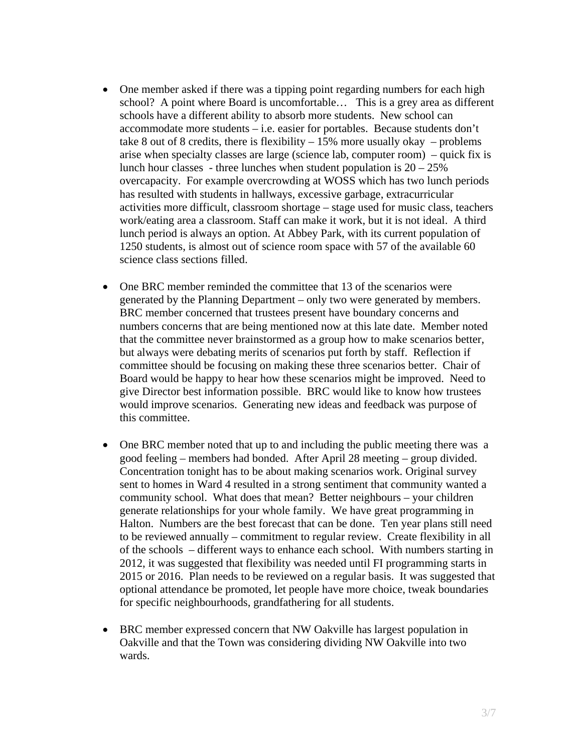- One member asked if there was a tipping point regarding numbers for each high school? A point where Board is uncomfortable… This is a grey area as different schools have a different ability to absorb more students. New school can accommodate more students – i.e. easier for portables. Because students don't take 8 out of 8 credits, there is flexibility  $-15\%$  more usually okay  $-$  problems arise when specialty classes are large (science lab, computer room) – quick fix is lunch hour classes - three lunches when student population is  $20 - 25\%$ overcapacity. For example overcrowding at WOSS which has two lunch periods has resulted with students in hallways, excessive garbage, extracurricular activities more difficult, classroom shortage – stage used for music class, teachers work/eating area a classroom. Staff can make it work, but it is not ideal. A third lunch period is always an option. At Abbey Park, with its current population of 1250 students, is almost out of science room space with 57 of the available 60 science class sections filled.
- One BRC member reminded the committee that 13 of the scenarios were generated by the Planning Department – only two were generated by members. BRC member concerned that trustees present have boundary concerns and numbers concerns that are being mentioned now at this late date. Member noted that the committee never brainstormed as a group how to make scenarios better, but always were debating merits of scenarios put forth by staff. Reflection if committee should be focusing on making these three scenarios better. Chair of Board would be happy to hear how these scenarios might be improved. Need to give Director best information possible. BRC would like to know how trustees would improve scenarios. Generating new ideas and feedback was purpose of this committee.
- One BRC member noted that up to and including the public meeting there was a good feeling – members had bonded. After April 28 meeting – group divided. Concentration tonight has to be about making scenarios work. Original survey sent to homes in Ward 4 resulted in a strong sentiment that community wanted a community school. What does that mean? Better neighbours – your children generate relationships for your whole family. We have great programming in Halton. Numbers are the best forecast that can be done. Ten year plans still need to be reviewed annually – commitment to regular review. Create flexibility in all of the schools – different ways to enhance each school. With numbers starting in 2012, it was suggested that flexibility was needed until FI programming starts in 2015 or 2016. Plan needs to be reviewed on a regular basis. It was suggested that optional attendance be promoted, let people have more choice, tweak boundaries for specific neighbourhoods, grandfathering for all students.
- BRC member expressed concern that NW Oakville has largest population in Oakville and that the Town was considering dividing NW Oakville into two wards.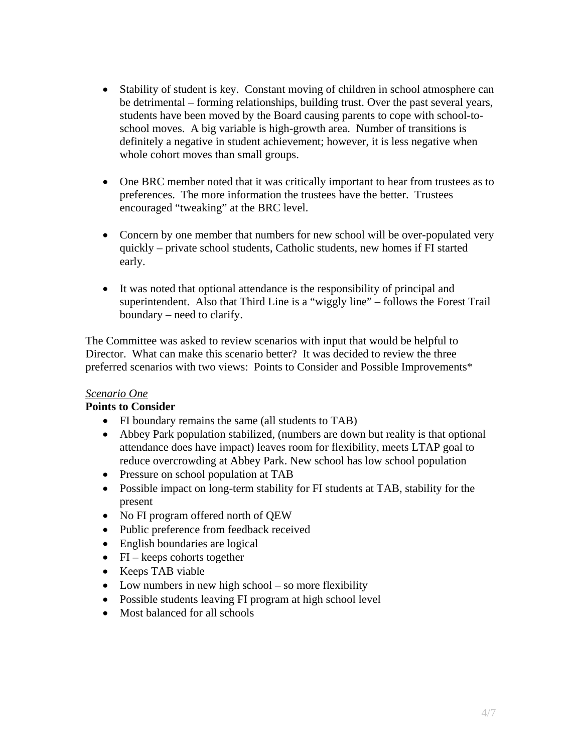- Stability of student is key. Constant moving of children in school atmosphere can be detrimental – forming relationships, building trust. Over the past several years, students have been moved by the Board causing parents to cope with school-toschool moves. A big variable is high-growth area. Number of transitions is definitely a negative in student achievement; however, it is less negative when whole cohort moves than small groups.
- One BRC member noted that it was critically important to hear from trustees as to preferences. The more information the trustees have the better. Trustees encouraged "tweaking" at the BRC level.
- Concern by one member that numbers for new school will be over-populated very quickly – private school students, Catholic students, new homes if FI started early.
- It was noted that optional attendance is the responsibility of principal and superintendent. Also that Third Line is a "wiggly line" – follows the Forest Trail boundary – need to clarify.

The Committee was asked to review scenarios with input that would be helpful to Director. What can make this scenario better? It was decided to review the three preferred scenarios with two views: Points to Consider and Possible Improvements\*

## *Scenario One*

#### **Points to Consider**

- FI boundary remains the same (all students to TAB)
- Abbey Park population stabilized, (numbers are down but reality is that optional attendance does have impact) leaves room for flexibility, meets LTAP goal to reduce overcrowding at Abbey Park. New school has low school population
- Pressure on school population at TAB
- Possible impact on long-term stability for FI students at TAB, stability for the present
- No FI program offered north of QEW
- Public preference from feedback received
- English boundaries are logical
- $\bullet$  FI keeps cohorts together
- Keeps TAB viable
- Low numbers in new high school so more flexibility
- Possible students leaving FI program at high school level
- Most balanced for all schools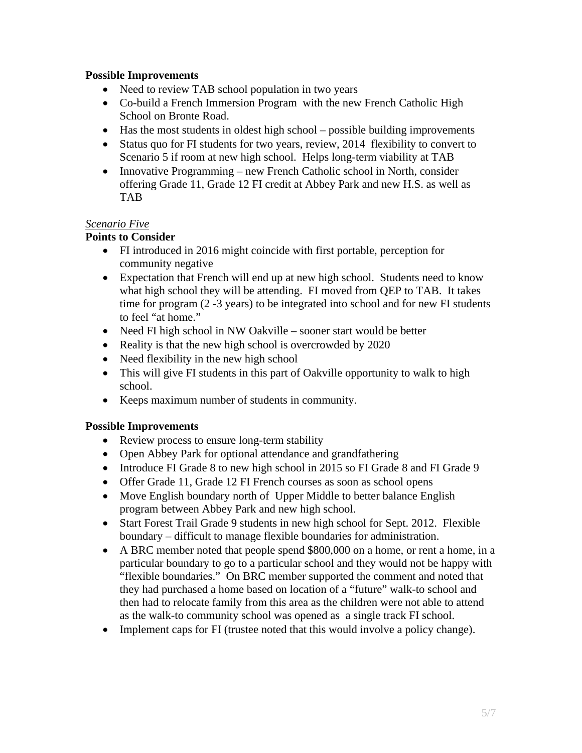## **Possible Improvements**

- Need to review TAB school population in two years
- Co-build a French Immersion Program with the new French Catholic High School on Bronte Road.
- Has the most students in oldest high school possible building improvements
- Status quo for FI students for two years, review, 2014 flexibility to convert to Scenario 5 if room at new high school. Helps long-term viability at TAB
- Innovative Programming new French Catholic school in North, consider offering Grade 11, Grade 12 FI credit at Abbey Park and new H.S. as well as TAB

### *Scenario Five*

## **Points to Consider**

- FI introduced in 2016 might coincide with first portable, perception for community negative
- Expectation that French will end up at new high school. Students need to know what high school they will be attending. FI moved from QEP to TAB. It takes time for program (2 -3 years) to be integrated into school and for new FI students to feel "at home."
- Need FI high school in NW Oakville sooner start would be better
- Reality is that the new high school is overcrowded by 2020
- Need flexibility in the new high school
- This will give FI students in this part of Oakville opportunity to walk to high school.
- Keeps maximum number of students in community.

## **Possible Improvements**

- Review process to ensure long-term stability
- Open Abbey Park for optional attendance and grandfathering
- Introduce FI Grade 8 to new high school in 2015 so FI Grade 8 and FI Grade 9
- Offer Grade 11, Grade 12 FI French courses as soon as school opens
- Move English boundary north of Upper Middle to better balance English program between Abbey Park and new high school.
- Start Forest Trail Grade 9 students in new high school for Sept. 2012. Flexible boundary – difficult to manage flexible boundaries for administration.
- A BRC member noted that people spend \$800,000 on a home, or rent a home, in a particular boundary to go to a particular school and they would not be happy with "flexible boundaries." On BRC member supported the comment and noted that they had purchased a home based on location of a "future" walk-to school and then had to relocate family from this area as the children were not able to attend as the walk-to community school was opened as a single track FI school.
- Implement caps for FI (trustee noted that this would involve a policy change).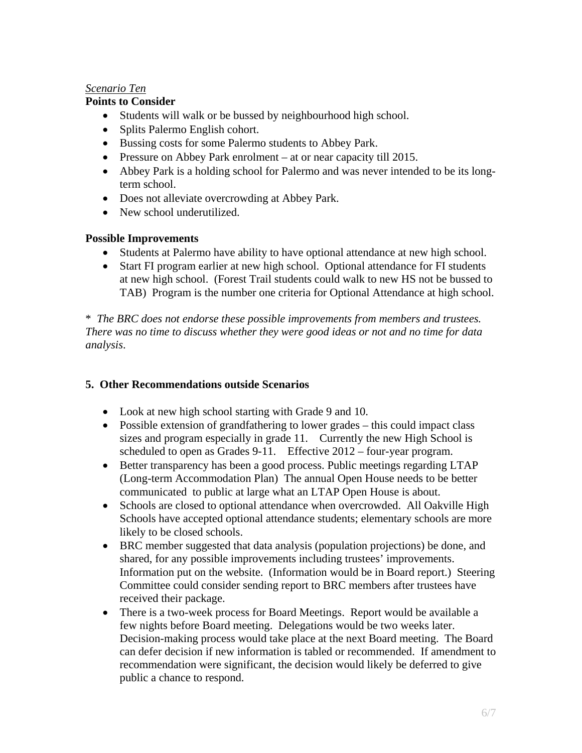### *Scenario Ten*

### **Points to Consider**

- Students will walk or be bussed by neighbourhood high school.
- Splits Palermo English cohort.
- Bussing costs for some Palermo students to Abbey Park.
- Pressure on Abbey Park enrolment at or near capacity till 2015.
- Abbey Park is a holding school for Palermo and was never intended to be its longterm school.
- Does not alleviate overcrowding at Abbey Park.
- New school underutilized.

## **Possible Improvements**

- Students at Palermo have ability to have optional attendance at new high school.
- Start FI program earlier at new high school. Optional attendance for FI students at new high school. (Forest Trail students could walk to new HS not be bussed to TAB) Program is the number one criteria for Optional Attendance at high school.

\* *The BRC does not endorse these possible improvements from members and trustees. There was no time to discuss whether they were good ideas or not and no time for data analysis*.

## **5. Other Recommendations outside Scenarios**

- Look at new high school starting with Grade 9 and 10.
- Possible extension of grandfathering to lower grades this could impact class sizes and program especially in grade 11. Currently the new High School is scheduled to open as Grades 9-11. Effective 2012 – four-year program.
- Better transparency has been a good process. Public meetings regarding LTAP (Long-term Accommodation Plan) The annual Open House needs to be better communicated to public at large what an LTAP Open House is about.
- Schools are closed to optional attendance when overcrowded. All Oakville High Schools have accepted optional attendance students; elementary schools are more likely to be closed schools.
- BRC member suggested that data analysis (population projections) be done, and shared, for any possible improvements including trustees' improvements. Information put on the website. (Information would be in Board report.) Steering Committee could consider sending report to BRC members after trustees have received their package.
- There is a two-week process for Board Meetings. Report would be available a few nights before Board meeting. Delegations would be two weeks later. Decision-making process would take place at the next Board meeting. The Board can defer decision if new information is tabled or recommended. If amendment to recommendation were significant, the decision would likely be deferred to give public a chance to respond.